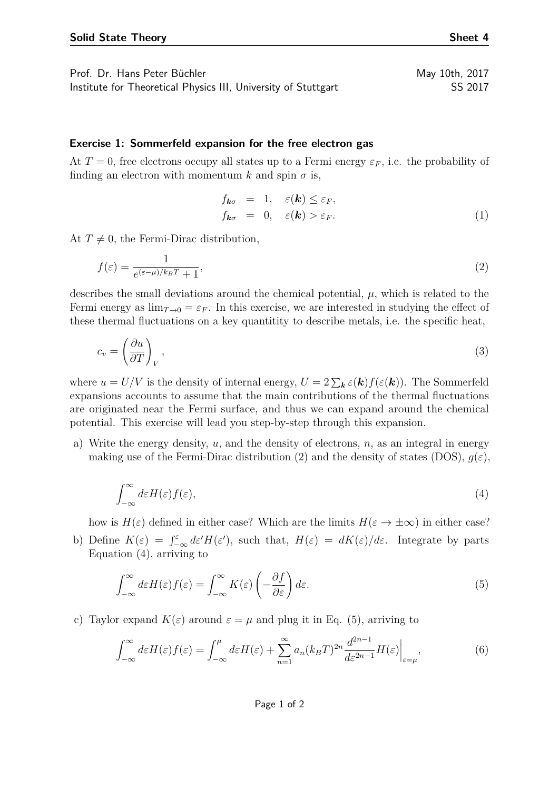Prof. Dr. Hans Peter Büchler May 10th, 2017 Institute for Theoretical Physics III, University of Stuttgart SS 2017

## **Exercise 1: Sommerfeld expansion for the free electron gas**

At  $T = 0$ , free electrons occupy all states up to a Fermi energy  $\varepsilon_F$ , i.e. the probability of finding an electron with momentum  $k$  and spin  $\sigma$  is,

<span id="page-0-0"></span>
$$
f_{\mathbf{k}\sigma} = 1, \quad \varepsilon(\mathbf{k}) \le \varepsilon_F, f_{\mathbf{k}\sigma} = 0, \quad \varepsilon(\mathbf{k}) > \varepsilon_F.
$$
 (1)

At  $T \neq 0$ , the Fermi-Dirac distribution,

$$
f(\varepsilon) = \frac{1}{e^{(\varepsilon - \mu)/k_B T} + 1},\tag{2}
$$

describes the small deviations around the chemical potential,  $\mu$ , which is related to the Fermi energy as  $\lim_{T\to 0} = \varepsilon_F$ . In this exercise, we are interested in studying the effect of these thermal fluctuations on a key quantitity to describe metals, i.e. the specific heat,

$$
c_v = \left(\frac{\partial u}{\partial T}\right)_V,\tag{3}
$$

where  $u = U/V$  is the density of internal energy,  $U = 2 \sum_{\mathbf{k}} \varepsilon(\mathbf{k}) f(\varepsilon(\mathbf{k}))$ . The Sommerfeld expansions accounts to assume that the main contributions of the thermal fluctuations are originated near the Fermi surface, and thus we can expand around the chemical potential. This exercise will lead you step-by-step through this expansion.

<span id="page-0-1"></span>a) Write the energy density, *u*, and the density of electrons, *n*, as an integral in energy making use of the Fermi-Dirac distribution [\(2\)](#page-0-0) and the density of states (DOS),  $g(\varepsilon)$ ,

$$
\int_{-\infty}^{\infty} d\varepsilon H(\varepsilon) f(\varepsilon),\tag{4}
$$

how is  $H(\varepsilon)$  defined in either case? Which are the limits  $H(\varepsilon \to \pm \infty)$  in either case?

b) Define  $K(\varepsilon) = \int_{-\infty}^{\varepsilon} d\varepsilon' H(\varepsilon')$ , such that,  $H(\varepsilon) = dK(\varepsilon)/d\varepsilon$ . Integrate by parts Equation [\(4\)](#page-0-1), arriving to

<span id="page-0-2"></span>
$$
\int_{-\infty}^{\infty} d\varepsilon H(\varepsilon) f(\varepsilon) = \int_{-\infty}^{\infty} K(\varepsilon) \left( -\frac{\partial f}{\partial \varepsilon} \right) d\varepsilon.
$$
 (5)

c) Taylor expand  $K(\varepsilon)$  around  $\varepsilon = \mu$  and plug it in Eq. [\(5\)](#page-0-2), arriving to

$$
\int_{-\infty}^{\infty} d\varepsilon H(\varepsilon) f(\varepsilon) = \int_{-\infty}^{\mu} d\varepsilon H(\varepsilon) + \sum_{n=1}^{\infty} a_n (k_B T)^{2n} \frac{d^{2n-1}}{d\varepsilon^{2n-1}} H(\varepsilon) \Big|_{\varepsilon=\mu},\tag{6}
$$